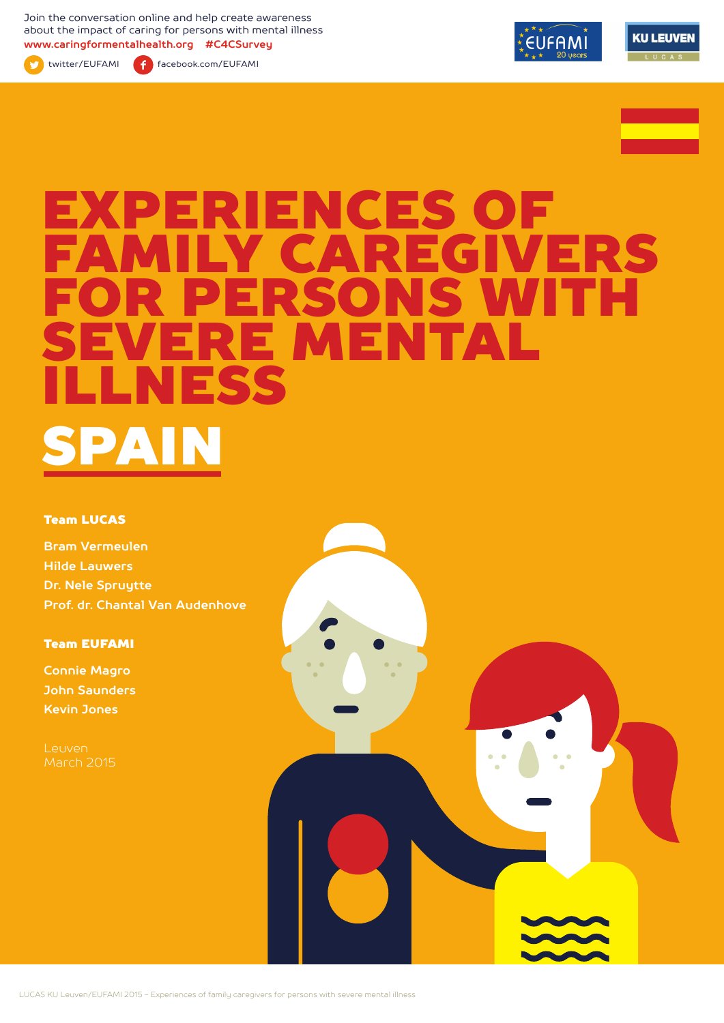Join the conversation online and help create awareness about the impact of caring for persons with mental illness **www.caringformentalhealth.org #C4CSurvey**



twitter/EUFAMI facebook.com/EUFAMI





# EXPERIENCES OF Y CAREGIVERS<br>ERSONS WITH SONS WITH<br>WENTAL IRE MEN<br>FSS ILLNESS SPAIN

#### Team LUCAS

**Bram Vermeulen Hilde Lauwers Dr. Nele Spruytte Prof. dr. Chantal Van Audenhove**

Team EUFAMI

**Connie Magro John Saunders Kevin Jones**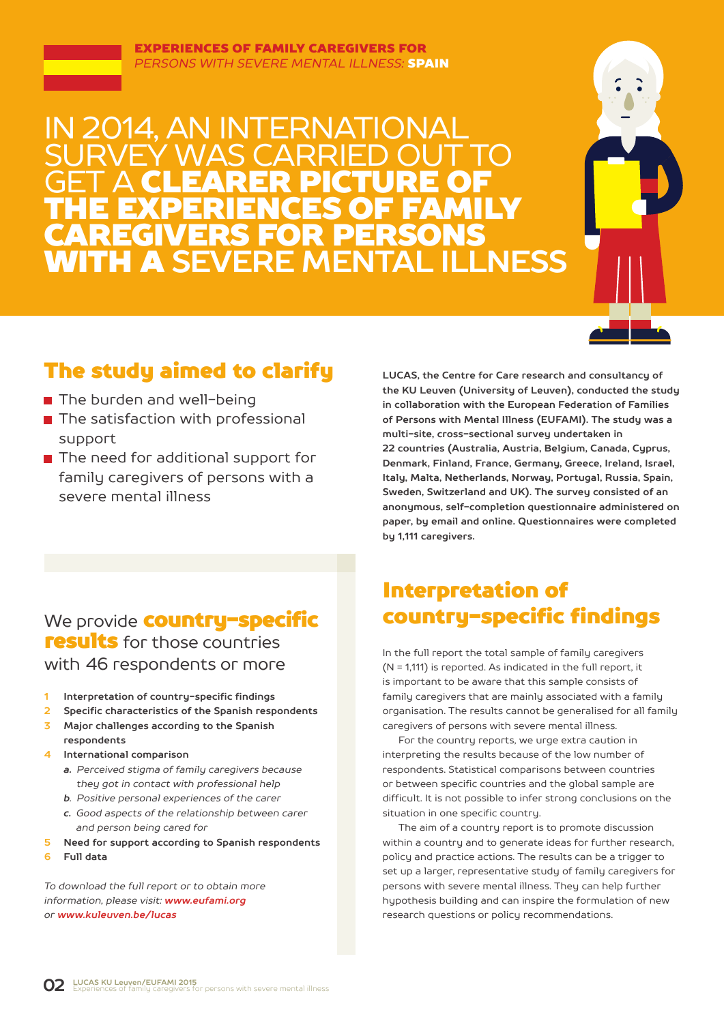

## 2014, AN INTERNATIO SURVEY WAS CARRIED OUT TO **GET A CLEARER PICTURE OF** THE EXPERIENCES OF FAMILY CAREGIVERS FOR PERSONS WITH A **SEVERE MENTAL ILLNESS**



## The study aimed to clarify

- The burden and well-being
- $\blacksquare$  The satisfaction with professional support
- The need for additional support for family caregivers of persons with a severe mental illness

**LUCAS, the Centre for Care research and consultancy of the KU Leuven (University of Leuven), conducted the study in collaboration with the European Federation of Families of Persons with Mental Illness (EUFAMI). The study was a multi-site, cross-sectional survey undertaken in 22 countries (Australia, Austria, Belgium, Canada, Cyprus, Denmark, Finland, France, Germany, Greece, Ireland, Israel, Italy, Malta, Netherlands, Norway, Portugal, Russia, Spain, Sweden, Switzerland and UK). The survey consisted of an anonymous, self-completion questionnaire administered on paper, by email and online. Questionnaires were completed by 1,111 caregivers.** 

## We provide **country-specific** results for those countries with 46 respondents or more

- **1 Interpretation of country-specific findings**
- **2 Specific characteristics of the Spanish respondents**
- **3 Major challenges according to the Spanish respondents**
- **4 International comparison**
	- *a. Perceived stigma of family caregivers because they got in contact with professional help*
	- *b. Positive personal experiences of the carer*
	- *c. Good aspects of the relationship between carer and person being cared for*
- **5 Need for support according to Spanish respondents**
- **6 Full data**

*To download the full report or to obtain more information, please visit: www.eufami.org or www.kuleuven.be/lucas*

## Interpretation of country-specific findings

In the full report the total sample of family caregivers (N = 1,111) is reported. As indicated in the full report, it is important to be aware that this sample consists of family caregivers that are mainly associated with a family organisation. The results cannot be generalised for all family caregivers of persons with severe mental illness.

For the country reports, we urge extra caution in interpreting the results because of the low number of respondents. Statistical comparisons between countries or between specific countries and the global sample are difficult. It is not possible to infer strong conclusions on the situation in one specific country.

The aim of a country report is to promote discussion within a country and to generate ideas for further research, policy and practice actions. The results can be a trigger to set up a larger, representative study of family caregivers for persons with severe mental illness. They can help further hypothesis building and can inspire the formulation of new research questions or policy recommendations.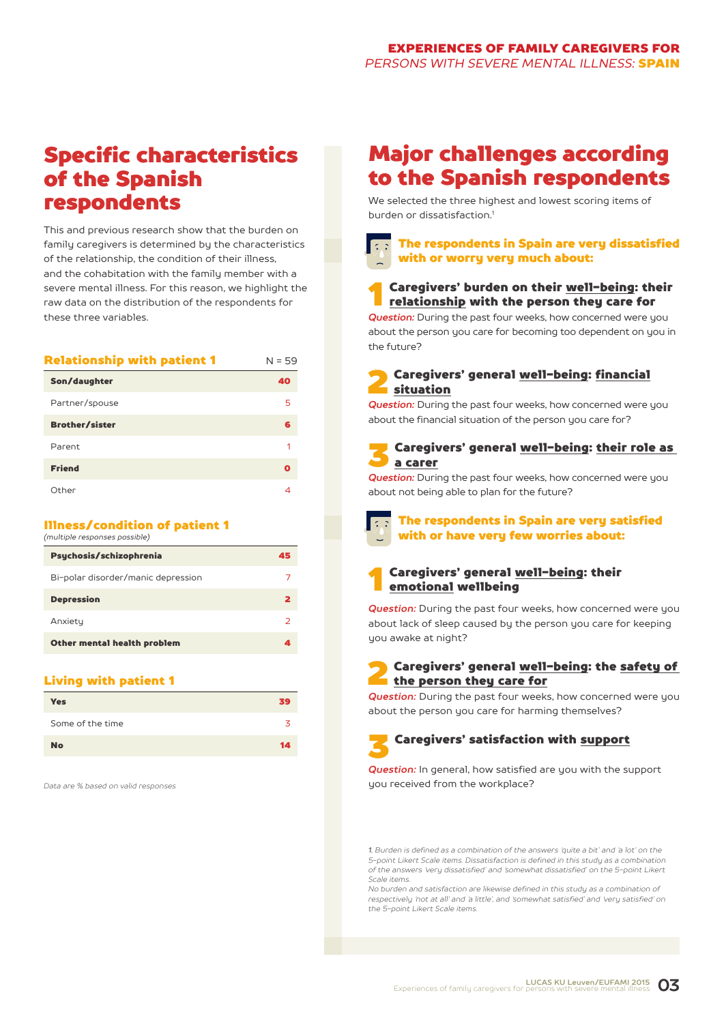## Specific characteristics of the Spanish respondents

This and previous research show that the burden on family caregivers is determined by the characteristics of the relationship, the condition of their illness, and the cohabitation with the family member with a severe mental illness. For this reason, we highlight the raw data on the distribution of the respondents for these three variables.

| Reiationsnip with patient i | צכ = צו |
|-----------------------------|---------|
| Son/daughter                | 40      |
| Partner/spouse              | 5       |
| <b>Brother/sister</b>       | 6       |
| Parent                      | 1       |
| <b>Friend</b>               | O       |
| Other                       | 4       |

#### Illness/condition of patient 1

Relationship with patient 1 N = 59

*(multiple responses possible)*

| Psychosis/schizophrenia            | 45 |
|------------------------------------|----|
| Bi-polar disorder/manic depression |    |
| <b>Depression</b>                  | 2  |
| Anxiety                            | っ  |
| Other mental health problem        |    |

#### Living with patient 1

| <b>Yes</b>       | 39 |
|------------------|----|
| Some of the time |    |
| <b>No</b>        | 14 |

*Data are % based on valid responses*

## Major challenges according to the Spanish respondents

We selected the three highest and lowest scoring items of burden or dissatisfaction<sup>1</sup>

## The respondents in Spain are very dissatisfied with or worry very much about:

## **1** Caregivers' burden on their <u>well-being</u>: their<br><u>relationship</u> with the person they care for

*Question:* During the past four weeks, how concerned were you about the person you care for becoming too dependent on you in the future?

#### 2 Caregivers' general well-being: financial situation

*Question:* During the past four weeks, how concerned were you about the financial situation of the person you care for?

### 3 Caregivers' general well-being: their role as a carer

*Question:* During the past four weeks, how concerned were you about not being able to plan for the future?



#### The respondents in Spain are very satisfied with or have very few worries about:

### Caregivers' general well-being: their emotional wellbeing

*Question:* During the past four weeks, how concerned were you about lack of sleep caused by the person you care for keeping you awake at night?

### 2 Caregivers' general well-being: the safety of the person they care for

**Question:** During the past four weeks, how concerned were you about the person you care for harming themselves?

## 3 Caregivers' satisfaction with support

*Question:* In general, how satisfied are you with the support you received from the workplace?

*1. Burden is defined as a combination of the answers 'quite a bit' and 'a lot' on the 5-point Likert Scale items. Dissatisfaction is defined in this study as a combination of the answers 'very dissatisfied' and 'somewhat dissatisfied' on the 5-point Likert Scale items.*

*No burden and satisfaction are likewise defined in this study as a combination of respectively 'not at all' and 'a little', and 'somewhat satisfied' and 'very satisfied' on the 5-point Likert Scale items.*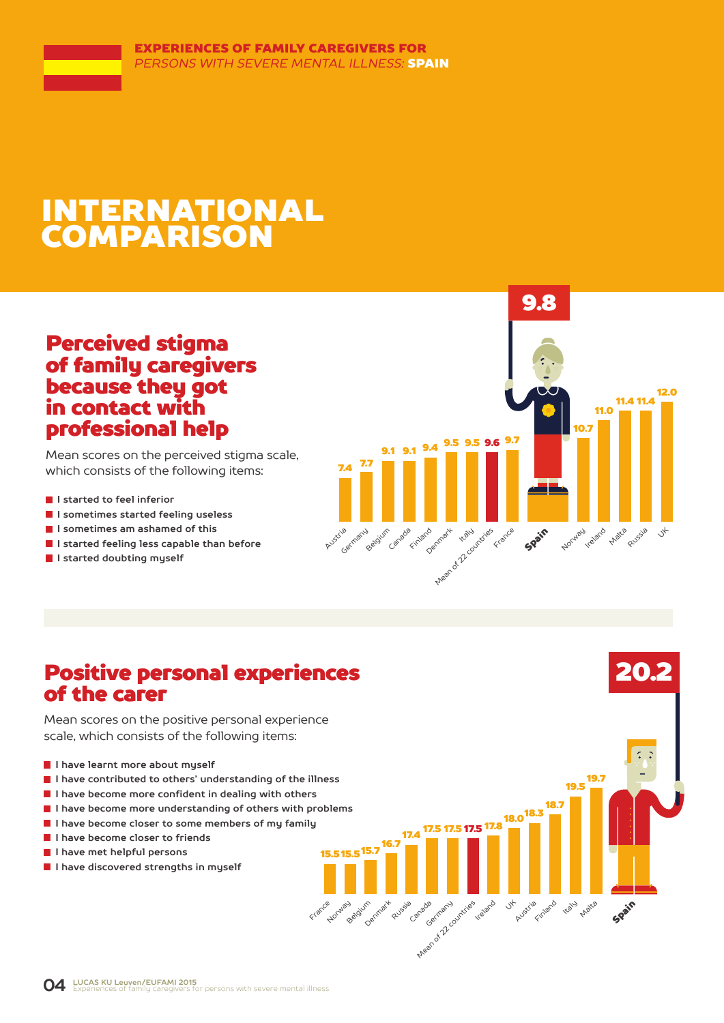## INTERNATIONAL COMPARISON

## Perceived stigma of family caregivers because they got in contact with professional help

Mean scores on the perceived stigma scale, which consists of the following items:

- **I** I started to feel inferior
- **I sometimes started feeling useless**
- **I sometimes am ashamed of this**
- **I started feeling less capable than before**
- **I started doubting myself**



20.2

Spain

19.5 19.7

**Malta** 

18.7

Finland Kaly

 $18.0^{18.3}$ 

Austria

17.5 17.8 17.5

Canada Garmany durities relation of

15.5 15.5 <sup>15.7</sup>

Norway algium

France

Denmark

 $17.4$ 

PLUSSIA anade

## Positive personal experiences of the carer

Mean scores on the positive personal experience scale, which consists of the following items:

- **I have learnt more about myself**
- **I have contributed to others' understanding of the illness**
- **I have become more confident in dealing with others**
- **I have become more understanding of others with problems**
- **I have become closer to some members of my family**
- **I have become closer to friends**
- **I have met helpful persons**
- **I have discovered strengths in myself**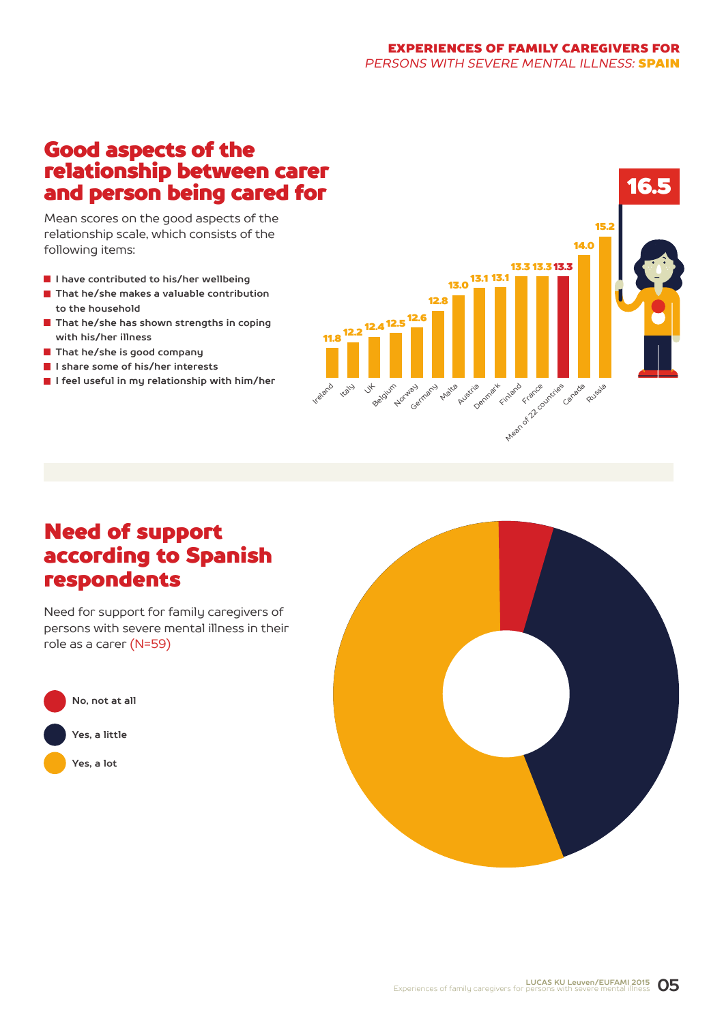## Good aspects of the relationship between carer and person being cared for

Mean scores on the good aspects of the relationship scale, which consists of the following items:

- **I have contributed to his/her wellbeing**
- **That he/she makes a valuable contribution to the household**
- **That he/she has shown strengths in coping with his/her illness**
- **That he/she is good company**
- **I share some of his/her interests**
- **I feel useful in my relationship with him/her**



## Need of support according to Spanish respondents

Need for support for family caregivers of persons with severe mental illness in their role as a carer (N=59)



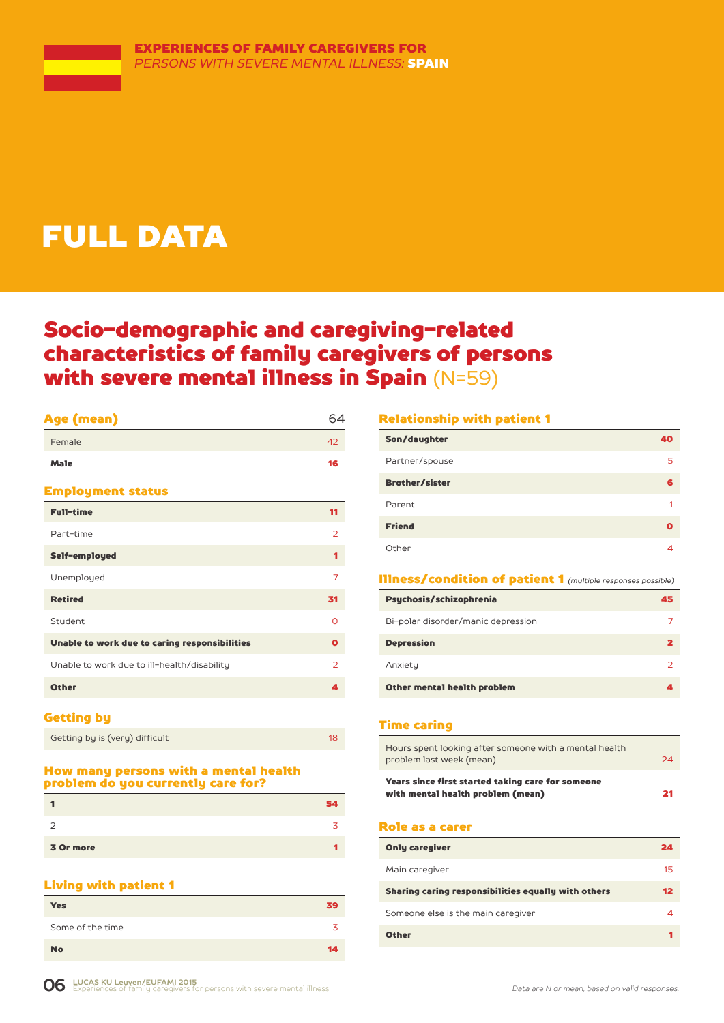## FULL DATA

## Socio-demographic and caregiving-related characteristics of family caregivers of persons with severe mental illness in Spain (N=59)

## Age (mean) 64 Female 42

| <b>Employment status</b> |  |
|--------------------------|--|

| <b>Full-time</b>                              | 11             |
|-----------------------------------------------|----------------|
| Part-time                                     | 2              |
| Self-employed                                 |                |
| Unemployed                                    | 7              |
| <b>Retired</b>                                | 31             |
| Student                                       | Ω              |
| Unable to work due to caring responsibilities | $\mathbf o$    |
| Unable to work due to ill-health/disability   | $\overline{2}$ |
| <b>Other</b>                                  | А              |
|                                               |                |

Male **16** 

#### Getting by

Getting by is (very) difficult 18

#### How many persons with a mental health problem do you currently care for?

|           | 34. |
|-----------|-----|
| ∍         |     |
| 3 Or more |     |

### Living with patient 1

| <b>Yes</b>       | 39 |
|------------------|----|
| Some of the time | 3  |
| <b>No</b>        | 14 |

#### Relationship with patient 1

| Son/daughter          | 40 |
|-----------------------|----|
| Partner/spouse        | 5  |
| <b>Brother/sister</b> | 6  |
| Parent                | 1  |
| <b>Friend</b>         | Ω  |
| Other                 |    |

#### Illness/condition of patient 1 *(multiple responses possible)*

| Psychosis/schizophrenia            | 45 |
|------------------------------------|----|
| Bi-polar disorder/manic depression |    |
| <b>Depression</b>                  |    |
| Anxiety                            |    |
| Other mental health problem        |    |

#### Time caring

| Hours spent looking after someone with a mental health<br>problem last week (mean)     | 24 |
|----------------------------------------------------------------------------------------|----|
| Years since first started taking care for someone<br>with mental health problem (mean) | 21 |

#### Role as a carer

| <b>Only caregiver</b>                               | 24 |
|-----------------------------------------------------|----|
| Main caregiver                                      | 15 |
| Sharing caring responsibilities equally with others | 12 |
| Someone else is the main caregiver                  |    |
| <b>Other</b>                                        |    |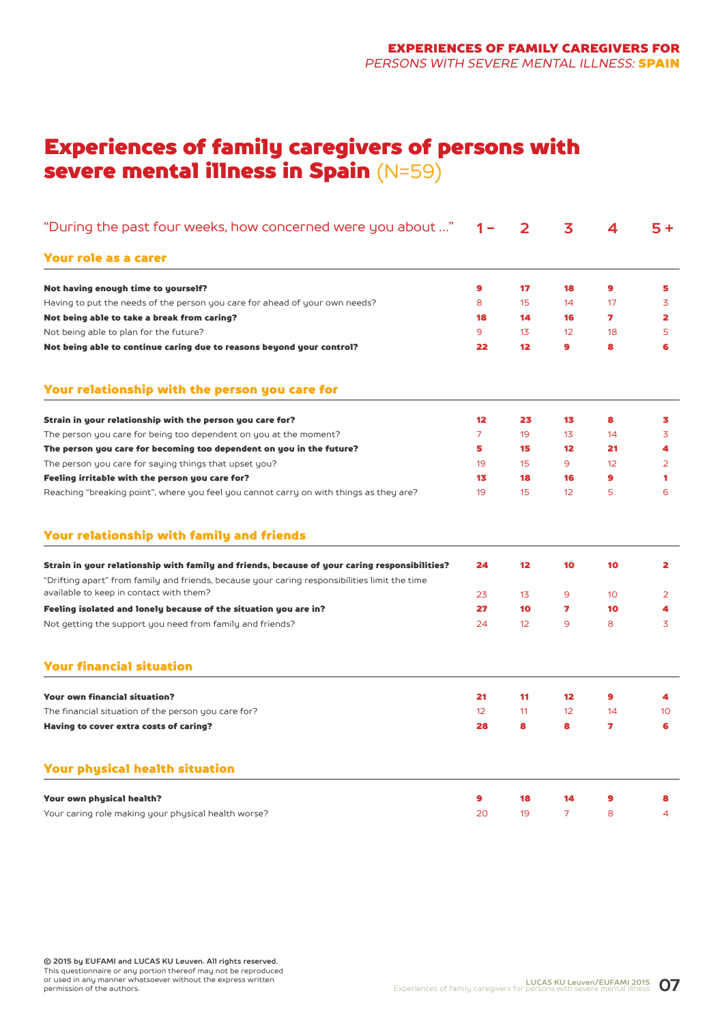## Experiences of family caregivers of persons with severe mental illness in Spain (N=59)

| "During the past four weeks, how concerned were you about "                                                                                                                                    | 1 –            | 2  | 3              | 4         | $5+$            |
|------------------------------------------------------------------------------------------------------------------------------------------------------------------------------------------------|----------------|----|----------------|-----------|-----------------|
| Your role as a carer                                                                                                                                                                           |                |    |                |           |                 |
| Not having enough time to yourself?                                                                                                                                                            | 9              | 17 | 18             | 9         | 5               |
| Having to put the needs of the person you care for ahead of your own needs?                                                                                                                    | 8              | 15 | 14             | 17        | 3               |
| Not being able to take a break from caring?                                                                                                                                                    | 18             | 14 | 16             | 7         | 2               |
| Not being able to plan for the future?                                                                                                                                                         | 9              | 13 | 12             | 18        | 5               |
| Not being able to continue caring due to reasons beyond your control?                                                                                                                          | 22             | 12 | $\bullet$      | 8         | 6               |
| Your relationship with the person you care for                                                                                                                                                 |                |    |                |           |                 |
| Strain in your relationship with the person you care for?                                                                                                                                      | 12             | 23 | 13             | 8         | 3               |
| The person you care for being too dependent on you at the moment?                                                                                                                              | $\overline{7}$ | 19 | 13             | 14        | 3               |
| The person you care for becoming too dependent on you in the future?                                                                                                                           | 5              | 15 | $12 \,$        | 21        | 4               |
| The person you care for saying things that upset you?                                                                                                                                          | 19             | 15 | 9              | 12        | 2               |
| Feeling irritable with the person you care for?                                                                                                                                                | 13             | 18 | 16             | $\bullet$ | 1               |
| Reaching "breaking point", where you feel you cannot carry on with things as they are?                                                                                                         | 19             | 15 | 12             | 5         | 6               |
| Your relationship with family and friends                                                                                                                                                      |                |    |                |           |                 |
| Strain in your relationship with family and friends, because of your caring responsibilities?<br>"Drifting apart" from family and friends, because your caring responsibilities limit the time | 24             | 12 | 10             | 10        | 2               |
| available to keep in contact with them?                                                                                                                                                        | 23             | 13 | 9              | 10        | 2               |
| Feeling isolated and lonely because of the situation you are in?                                                                                                                               | 27             | 10 | 7              | 10        | 4               |
| Not getting the support you need from family and friends?                                                                                                                                      | 24             | 12 | 9              | 8         | 3               |
| <b>Your financial situation</b>                                                                                                                                                                |                |    |                |           |                 |
| <b>Your own financial situation?</b>                                                                                                                                                           | 21             | 11 | $12 \,$        | 9         | 4               |
| The financial situation of the person you care for?                                                                                                                                            | 12             | 11 | 12             | 14        | 10 <sup>°</sup> |
| Having to cover extra costs of caring?                                                                                                                                                         | 28             | 8  | 8              | 7         | 6               |
| <b>Your physical health situation</b>                                                                                                                                                          |                |    |                |           |                 |
| Your own physical health?                                                                                                                                                                      | 9              | 18 | 14             | 9         | 8               |
| Your caring role making your physical health worse?                                                                                                                                            | 20             | 19 | $\overline{7}$ | 8         | 4               |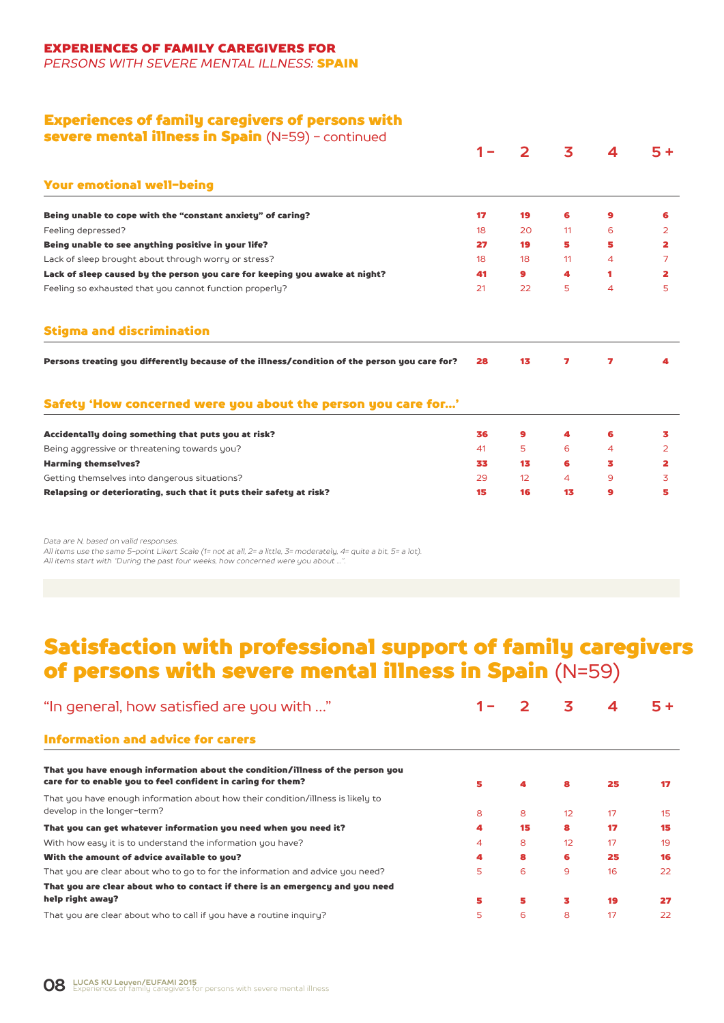### EXPERIENCES OF FAMILY CAREGIVERS FOR

*PERSONS WITH SEVERE MENTAL ILLNESS:* SPAIN

### Experiences of family caregivers of persons with

severe mental illness in Spain (N=59) - continued

|                                                                                               |    |                   | 3  |                          | 5+             |
|-----------------------------------------------------------------------------------------------|----|-------------------|----|--------------------------|----------------|
| <b>Your emotional well-being</b>                                                              |    |                   |    |                          |                |
| Being unable to cope with the "constant anxiety" of caring?                                   | 17 | 19                | 6  | 9                        | 6              |
| Feeling depressed?                                                                            | 18 | 20                | 11 | 6                        | 2              |
| Being unable to see anything positive in your life?                                           | 27 | 19                | 5  | 5                        | 2              |
| Lack of sleep brought about through worry or stress?                                          | 18 | 18                | 11 | 4                        | 7              |
| Lack of sleep caused by the person you care for keeping you awake at night?                   | 41 | 9                 | 4  | 1                        | 2              |
| Feeling so exhausted that you cannot function properly?                                       | 21 | 22                | 5. | $\overline{\mathcal{A}}$ | 5              |
| <b>Stigma and discrimination</b>                                                              |    |                   |    |                          |                |
| Persons treating you differently because of the illness/condition of the person you care for? | 28 | 13                | 7  | 7                        | 4              |
| Safety 'How concerned were you about the person you care for'                                 |    |                   |    |                          |                |
|                                                                                               |    |                   |    |                          |                |
| Accidentally doing something that puts you at risk?                                           | 36 | 9                 | 4  | 6                        | 3              |
| Being aggressive or threatening towards you?                                                  | 41 | 5                 | 6  | 4                        | $\overline{2}$ |
| <b>Harming themselves?</b>                                                                    | 33 | 13                | 6  | з                        | 2              |
| Getting themselves into dangerous situations?                                                 | 29 | $12 \overline{ }$ | 4  | 9                        | 3              |

*Data are N, based on valid responses.*

*All items use the same 5-point Likert Scale (1= not at all, 2= a little, 3= moderately, 4= quite a bit, 5= a lot). All items start with "During the past four weeks, how concerned were you about …".*

## Satisfaction with professional support of family caregivers of persons with severe mental illness in Spain (N=59)

| "In general, how satisfied are you with "                                                                                                      |   |    | 3  | 4  | 5+ |
|------------------------------------------------------------------------------------------------------------------------------------------------|---|----|----|----|----|
| <b>Information and advice for carers</b>                                                                                                       |   |    |    |    |    |
| That you have enough information about the condition/illness of the person you<br>care for to enable you to feel confident in caring for them? | 5 | 4  | 8  | 25 | 17 |
| That you have enough information about how their condition/illness is likely to<br>develop in the longer-term?                                 | 8 | 8  | 12 | 17 | 15 |
| That you can get whatever information you need when you need it?                                                                               | 4 | 15 | 8  | 17 | 15 |
| With how easy it is to understand the information you have?                                                                                    | 4 | 8  | 12 | 17 | 19 |
| With the amount of advice available to you?                                                                                                    | 4 | 8  | 6  | 25 | 16 |
| That you are clear about who to go to for the information and advice you need?                                                                 | 5 | 6  | 9  | 16 | 22 |
| That you are clear about who to contact if there is an emergency and you need                                                                  |   |    |    |    |    |
| help right away?                                                                                                                               | 5 | 5  | 3  | 19 | 27 |
| That you are clear about who to call if you have a routine inquiry?                                                                            | 5 | 6  | 8  | 17 | 22 |